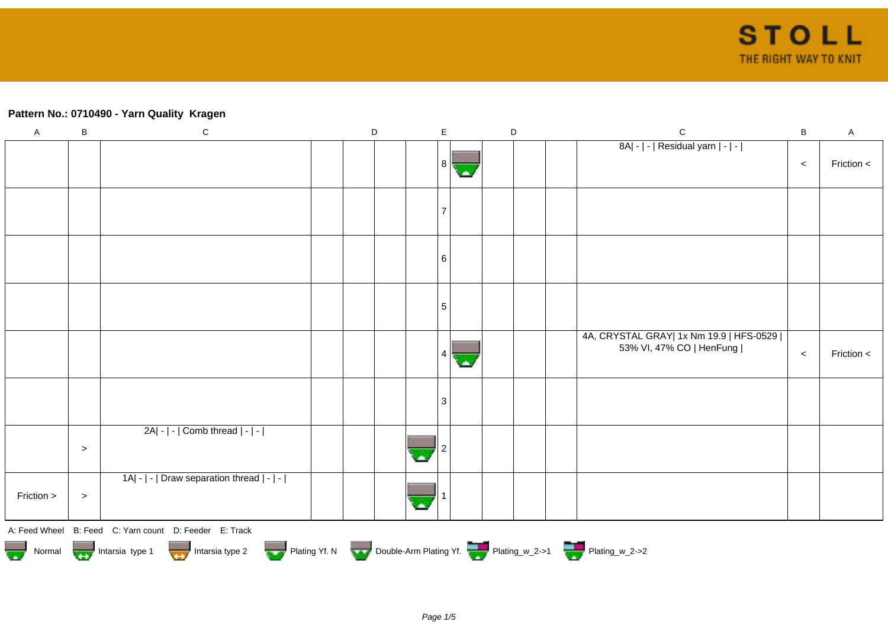## **Pattern No.: 0710490 - Yarn Quality Kragen**

| $\mathsf A$ | $\sf B$                                                                                                                                      | ${\bf C}$                                  |  | $\mathsf D$ |  | $\mathsf E$ |  | $\mathsf D$ |  |  | $\mathbf C$                                                           | B     | $\mathsf A$ |
|-------------|----------------------------------------------------------------------------------------------------------------------------------------------|--------------------------------------------|--|-------------|--|-------------|--|-------------|--|--|-----------------------------------------------------------------------|-------|-------------|
|             |                                                                                                                                              |                                            |  |             |  | 8           |  |             |  |  | 8A  -   -   Residual yarn   -   -                                     | $\,<$ | Friction <  |
|             |                                                                                                                                              |                                            |  |             |  |             |  |             |  |  |                                                                       |       |             |
|             |                                                                                                                                              |                                            |  |             |  | 6           |  |             |  |  |                                                                       |       |             |
|             |                                                                                                                                              |                                            |  |             |  | 5           |  |             |  |  |                                                                       |       |             |
|             |                                                                                                                                              |                                            |  |             |  |             |  |             |  |  | 4A, CRYSTAL GRAY  1x Nm 19.9   HFS-0529  <br>53% VI, 47% CO   HenFung | $\,<$ | Friction <  |
|             |                                                                                                                                              |                                            |  |             |  | 3           |  |             |  |  |                                                                       |       |             |
|             | $\, >$                                                                                                                                       | 2A  -   -   Comb thread   -   -            |  |             |  |             |  |             |  |  |                                                                       |       |             |
| Friction >  | $\, >$                                                                                                                                       | 1A  -   -   Draw separation thread   -   - |  |             |  |             |  |             |  |  |                                                                       |       |             |
|             | A: Feed Wheel B: Feed C: Yarn count D: Feeder E: Track<br>Normal Mormal Intarsia type 1 Intarsia type 2 Plating Yf. N Double-Arm Plating Yf. |                                            |  |             |  |             |  |             |  |  |                                                                       |       |             |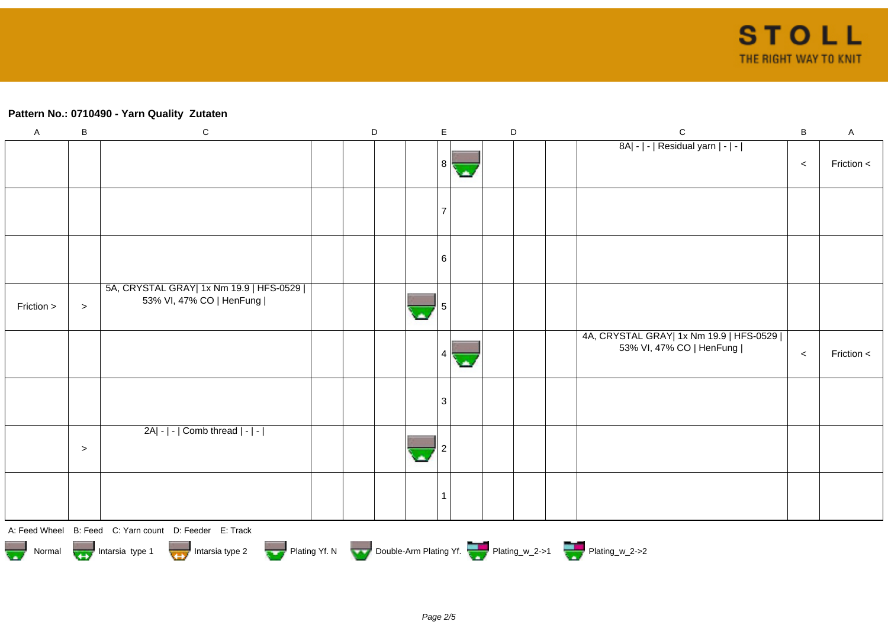### **Pattern No.: 0710490 - Yarn Quality Zutaten**

| $\mathsf A$                                                                                                                                    | $\sf B$   | ${\bf C}$                                                             |  | $\mathsf D$ |  |    | E      |   |  | $\mathsf D$ | $\mathsf C$                                                           | $\sf B$ | $\mathsf{A}$ |
|------------------------------------------------------------------------------------------------------------------------------------------------|-----------|-----------------------------------------------------------------------|--|-------------|--|----|--------|---|--|-------------|-----------------------------------------------------------------------|---------|--------------|
|                                                                                                                                                |           |                                                                       |  |             |  |    | । 8 ।ਵ | ٠ |  |             | 8A  -   -   Residual yarn   -   -                                     | $\,<$   | Friction <   |
|                                                                                                                                                |           |                                                                       |  |             |  |    |        |   |  |             |                                                                       |         |              |
|                                                                                                                                                |           |                                                                       |  |             |  |    |        |   |  |             |                                                                       |         |              |
|                                                                                                                                                |           |                                                                       |  |             |  |    | 6      |   |  |             |                                                                       |         |              |
| Friction >                                                                                                                                     | $\,>$     | 5A, CRYSTAL GRAY  1x Nm 19.9   HFS-0529  <br>53% VI, 47% CO   HenFung |  |             |  | ц. |        |   |  |             |                                                                       |         |              |
|                                                                                                                                                |           |                                                                       |  |             |  |    |        | ٠ |  |             | 4A, CRYSTAL GRAY  1x Nm 19.9   HFS-0529  <br>53% VI, 47% CO   HenFung | $\,<$   | Friction <   |
|                                                                                                                                                |           |                                                                       |  |             |  |    | З      |   |  |             |                                                                       |         |              |
|                                                                                                                                                | $\, > \,$ | $2A - - $ Comb thread $ - - $                                         |  |             |  |    |        |   |  |             |                                                                       |         |              |
|                                                                                                                                                |           |                                                                       |  |             |  |    |        |   |  |             |                                                                       |         |              |
|                                                                                                                                                |           | A: Feed Wheel B: Feed C: Yarn count D: Feeder E: Track                |  |             |  |    |        |   |  |             |                                                                       |         |              |
| Plating Yf. N Double-Arm Plating Yf. Plating_w_2->1 Plating_w_2->2<br>Normal <b>Community</b> Intersia type 1 <b>Community</b> Intersia type 2 |           |                                                                       |  |             |  |    |        |   |  |             |                                                                       |         |              |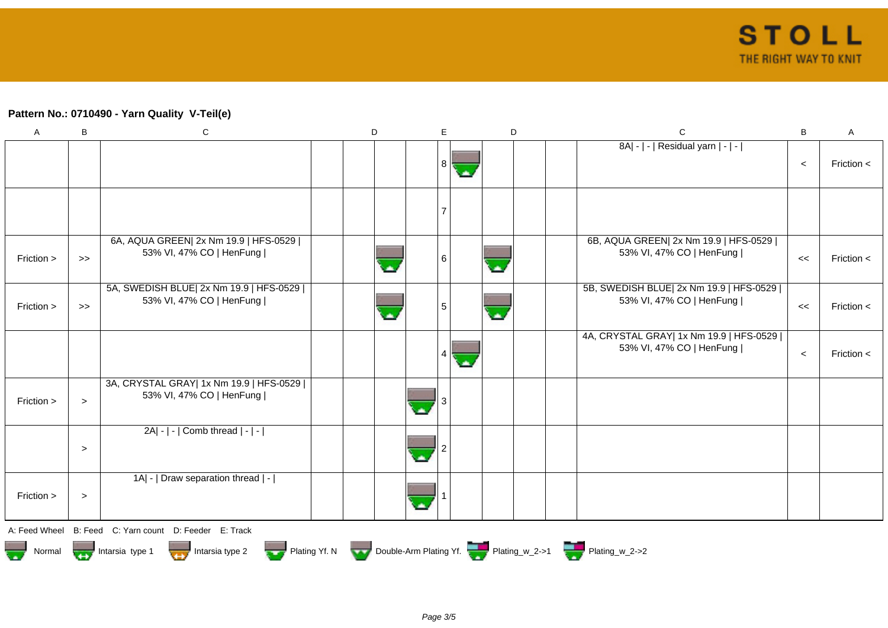# **Pattern No.: 0710490 - Yarn Quality V-Teil(e)**

| $\boldsymbol{\mathsf{A}}$ | B                                                                                                        | ${\bf C}$                                                             | D | E |    | D        |  | $\mathsf C$                                                           | B     | Α            |  |  |
|---------------------------|----------------------------------------------------------------------------------------------------------|-----------------------------------------------------------------------|---|---|----|----------|--|-----------------------------------------------------------------------|-------|--------------|--|--|
|                           |                                                                                                          |                                                                       |   | 8 | o. |          |  | 8A  -   -   Residual yarn   -   -                                     | $\,<$ | Friction $<$ |  |  |
|                           |                                                                                                          |                                                                       |   |   |    |          |  |                                                                       |       |              |  |  |
| Friction >                | $>\!>$                                                                                                   | 6A, AQUA GREEN  2x Nm 19.9   HFS-0529  <br>53% VI, 47% CO   HenFung   |   | 6 |    | A.       |  | 6B, AQUA GREEN  2x Nm 19.9   HFS-0529  <br>53% VI, 47% CO   HenFung   | $\,<$ | Friction $<$ |  |  |
| Friction >                | >                                                                                                        | 5A, SWEDISH BLUE  2x Nm 19.9   HFS-0529  <br>53% VI, 47% CO   HenFung |   | 5 |    | $\Delta$ |  | 5B, SWEDISH BLUE  2x Nm 19.9   HFS-0529  <br>53% VI, 47% CO   HenFung | <<    | Friction $<$ |  |  |
|                           |                                                                                                          |                                                                       |   |   |    |          |  | 4A, CRYSTAL GRAY  1x Nm 19.9   HFS-0529  <br>53% VI, 47% CO   HenFung | $\,<$ | Friction <   |  |  |
| Friction >                | $\geq$                                                                                                   | 3A, CRYSTAL GRAY  1x Nm 19.9   HFS-0529  <br>53% VI, 47% CO   HenFung |   |   |    |          |  |                                                                       |       |              |  |  |
|                           | $\geq$                                                                                                   | 2A  -   -   Comb thread   -   -                                       |   |   |    |          |  |                                                                       |       |              |  |  |
| Friction >                | $\, > \,$                                                                                                | 1A   -   Draw separation thread   -                                   |   |   |    |          |  |                                                                       |       |              |  |  |
| A: Feed Wheel             |                                                                                                          | B: Feed C: Yarn count D: Feeder E: Track                              |   |   |    |          |  |                                                                       |       |              |  |  |
| Normal                    | Plating Yf. N Double-Arm Plating Yf. Plating_w_2->1 Plating_w_2->2<br>Intarsia type 1<br>Intarsia type 2 |                                                                       |   |   |    |          |  |                                                                       |       |              |  |  |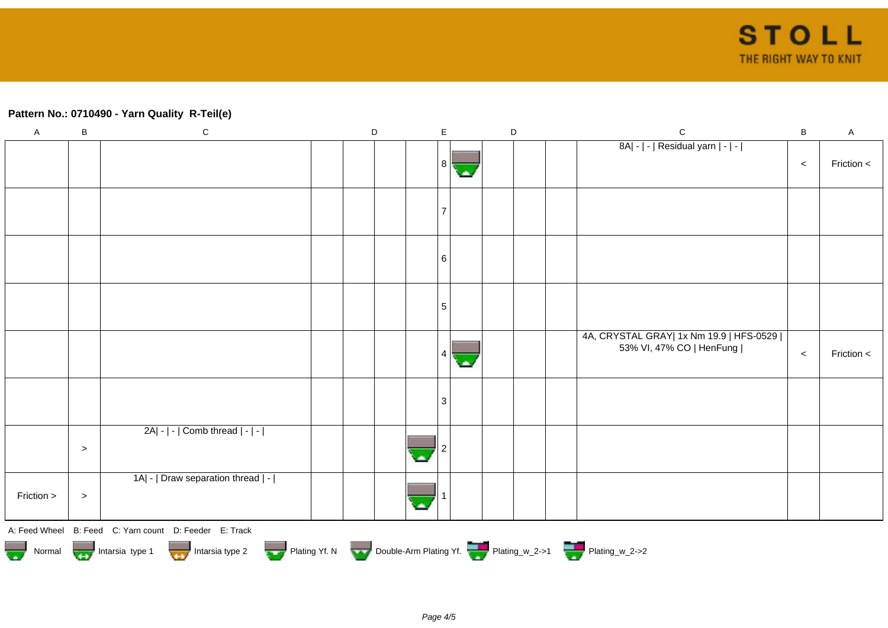## **Pattern No.: 0710490 - Yarn Quality R-Teil(e)**

| $\mathsf A$ | B     | $\mathbf C$                                                                      | $\mathsf D$ | $\mathsf E$ | D | $\mathsf{C}$                                                          | $\sf B$ | $\mathsf{A}$ |
|-------------|-------|----------------------------------------------------------------------------------|-------------|-------------|---|-----------------------------------------------------------------------|---------|--------------|
|             |       |                                                                                  |             | 8           |   | 8A  -   -   Residual yarn   -   -                                     | $\,<$   | Friction <   |
|             |       |                                                                                  |             |             |   |                                                                       |         |              |
|             |       |                                                                                  |             | 6           |   |                                                                       |         |              |
|             |       |                                                                                  |             | 5           |   |                                                                       |         |              |
|             |       |                                                                                  |             |             |   | 4A, CRYSTAL GRAY  1x Nm 19.9   HFS-0529  <br>53% VI, 47% CO   HenFung | $\,<$   | Friction <   |
|             |       |                                                                                  |             | 3           |   |                                                                       |         |              |
|             | $\,>$ | 2A  -   -   Comb thread   -   -                                                  |             |             |   |                                                                       |         |              |
| Friction >  | $\,>$ | 1A  -   Draw separation thread   -                                               |             |             |   |                                                                       |         |              |
|             |       | A: Feed Wheel B: Feed C: Yarn count D: Feeder E: Track                           |             |             |   |                                                                       |         |              |
|             |       | Normal 1999 Intarsia type 1 Intarsia type 2 Plating Yf. N Double-Arm Plating Yf. |             |             |   |                                                                       |         |              |